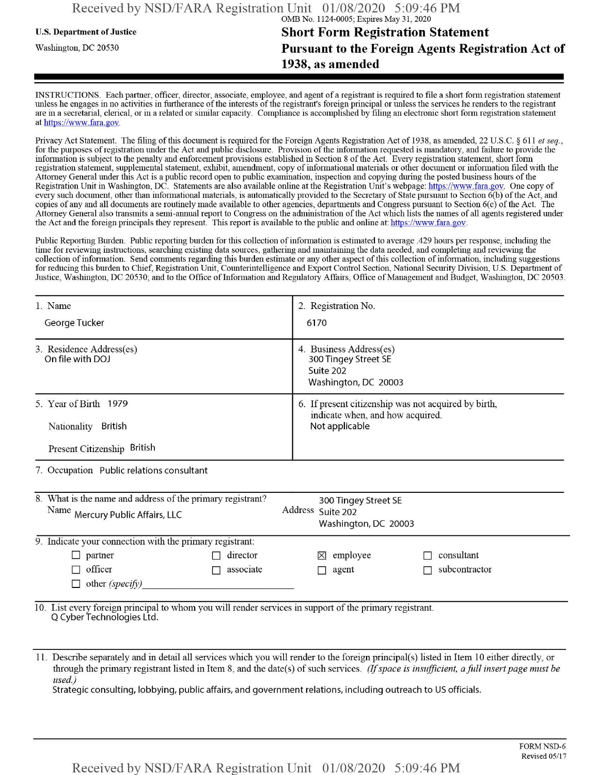## u.s. Department ofJustice **Short Form Registration Statement** Washington, dc <sup>20530</sup> **Pursuant to the Foreign Agents Registration Act of 1938, as amended**

INSTRUCTIONS. Each partner, officer, director, associate, employee, and agent of a registrant is required to file a short form registration statement unless he engages in no activities in furtherance ofthe interests ofthe registrant's foreign principal or unless the services he renders to the registrant are in a secretarial, clerical, or in a related or similar capacity. Compliance is accomplished by filing an electronic short form registration statement at https://www.fara.gov.

Privacy Act Statement. The filing of this document is required for the Foreign Agents Registration Act of 1938, as amended, 22 U.S.C. § 611 et seq., for the purposes of registration under the Act and public disclosure. Provision of the information requested is mandatory, and failure to provide the information is subject to the penalty and enforcement provisions established in Section 8 ofthe Act. Every registration statement, short form registration statement, supplemental statement, exhibit, amendment, copy ofinformational materials or other document or information filed with the Attorney General under this Act is a public record open to public examination, inspection and copying during the posted business hours ofthe Registration Unit in Washington, DC. Statements are also available online at the Registration Unit's webpage: https://www.fara.gov. One copy of every such document, other than informational materials, is automatically provided to the Secretary of State pursuant to Section 6(b) of the Act, and copies ofany and all documents are routinely made available to other agencies, departments and Congress pursuant to Section 6(c) ofthe Act. The Attorney General also transmits a semi-annual report to Congress on the administration ofthe Act which lists the names of all agents registered under the Act and the foreign principals they represent. This report is available to the public and online at: https://www.fara.gov.

Public Reporting Burden. Public reporting burden for this collection ofinformation is estimated to average .429 hours per response, including the time for reviewing instructions, searching existing data sources, gathering and maintaining the data needed, and completing and reviewing the collection ofinformation. Send comments regarding this burden estimate or any other aspect ofthis collection ofinformation, including suggestions for reducing this burden to Chief, Registration Unit, Counterintelligence and Export Control Section, National Security Division, U.S. Department of Justice, Washington, DC 20530; and to the Office of Information and Regulatory Affairs, Office of Management and Budget, Washington, DC 20503.

| 1. Name                                                                                                                              | 2. Registration No.                                                                                        |  |  |  |  |  |
|--------------------------------------------------------------------------------------------------------------------------------------|------------------------------------------------------------------------------------------------------------|--|--|--|--|--|
| George Tucker                                                                                                                        | 6170                                                                                                       |  |  |  |  |  |
| 3. Residence Address(es)<br>On file with DOJ                                                                                         | 4. Business Address(es)<br>300 Tingey Street SE<br>Suite 202<br>Washington, DC 20003                       |  |  |  |  |  |
| 5. Year of Birth 1979<br>Nationality British                                                                                         | 6. If present citizenship was not acquired by birth,<br>indicate when, and how acquired.<br>Not applicable |  |  |  |  |  |
| Present Citizenship British                                                                                                          |                                                                                                            |  |  |  |  |  |
| 7. Occupation Public relations consultant                                                                                            |                                                                                                            |  |  |  |  |  |
| 8. What is the name and address of the primary registrant?<br>Name Mercury Public Affairs, LLC                                       | 300 Tingey Street SE<br>Address Suite 202<br>Washington, DC 20003                                          |  |  |  |  |  |
| 9. Indicate your connection with the primary registrant:                                                                             |                                                                                                            |  |  |  |  |  |
| director<br>partner                                                                                                                  | consultant<br>employee<br>$\boxtimes$                                                                      |  |  |  |  |  |
| officer<br>associate<br>┍                                                                                                            | subcontractor<br>agent                                                                                     |  |  |  |  |  |
| other (specify)                                                                                                                      |                                                                                                            |  |  |  |  |  |
| 10. List every foreign principal to whom you will render services in support of the primary registrant.<br>Q Cyber Technologies Ltd. |                                                                                                            |  |  |  |  |  |

11. Describe separately and in detail all services which you will render to the foreign principal(s) listed in Item 10 either directly, or through the primary registrant listed in Item 8, and the date(s) ofsuch services. *(Ifspace is insufficient, afull insertpage must be used.)*

Strategic consulting, lobbying, public affairs, and government relations, including outreach to US officials.